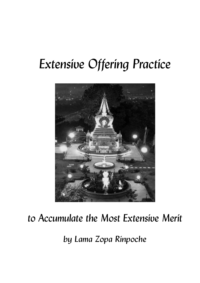# *Extensive Offering Practice*



# *to Accumulate the Most Extensive Merit*

*by Lama Zopa Rinpoche*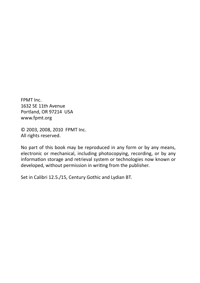FPMT Inc. 1632 SE 11th Avenue Portland, OR 97214 USA www.fpmt.org

© 2003, 2008, 2010 FPMT Inc. All rights reserved.

No part of this book may be reproduced in any form or by any means, electronic or mechanical, including photocopying, recording, or by any information storage and retrieval system or technologies now known or developed, without permission in writing from the publisher.

Set in Calibri 12.5./15, Century Gothic and Lydian BT.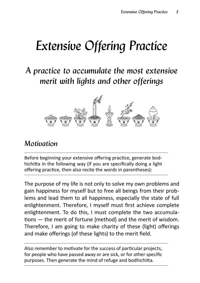# *Extensive Offering Practice*

# *A practice to accumulate the most extensive merit with lights and other offerings*



### *Motivation*

Before beginning your extensive offering practice, generate bodhichitta in the following way (if you are specifically doing a light offering practice, then also recite the words in parentheses):

The purpose of my life is not only to solve my own problems and gain happiness for myself but to free all beings from their problems and lead them to all happiness, especially the state of full enlightenment. Therefore, I myself must first achieve complete enlightenment. To do this, I must complete the two accumulations  $-$  the merit of fortune [method] and the merit of wisdom. Therefore, I am going to make charity of these (light) offerings and make offerings (of these lights) to the merit field.

Also remember to motivate for the success of particular projects, for people who have passed away or are sick, or for other specific purposes. Then generate the mind of refuge and bodhichitta.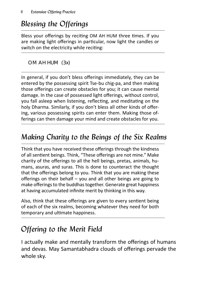# *Blessing the Offerings*

Bless your offerings by reciting OM AH HUM three times. If you are making light offerings in particular, now light the candles or switch on the electricity while reciting:

OM AH HUM *(3x)*

In general, if you don't bless offerings immediately, they can be entered by the possessing spirit Tse-bu chig-pa, and then making those offerings can create obstacles for you; it can cause mental damage. In the case of possessed light offerings, without control, you fall asleep when listening, reflecting, and meditating on the holy Dharma. Similarly, if you don't bless all other kinds of offering, various possessing spirits can enter them. Making those offerings can then damage your mind and create obstacles for you.

## *Making Charity to the Beings of the Six Realms*

Think that you have received these offerings through the kindness of all sentient beings. Think, "These offerings are not mine." Make charity of the offerings to all the hell beings, pretas, animals, humans, asuras, and suras. This is done to counteract the thought that the offerings belong to you. Think that you are making these offerings on their behalf  $-$  you and all other beings are going to make offerings to the buddhas together. Generate great happiness at having accumulated infinite merit by thinking in this way.

Also, think that these offerings are given to every sentient being of each of the six realms, becoming whatever they need for both temporary and ultimate happiness.

## *Offering to the Merit Field*

I actually make and mentally transform the offerings of humans and devas. May Samantabhadra clouds of offerings pervade the whole sky.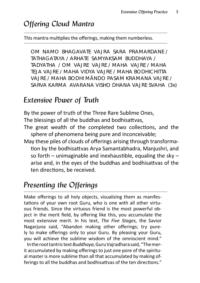This mantra multiplies the offerings, making them numberless.

OM NAMO BHAGAVATE VAJRA SARA PRAMARDANE / TATHAGATAYA / ARHATE SAMYAKSAM BUDDHAYA / TADYATHA / OM VAJRE VAJRE / MAHA VAJRE / MAHA TEJA VAJRE / MAHA VIDYA VAJRE / MAHA BODHICHITTA VAJRE / MAHA BODHI MÄNDO PASAM KRAMANA VAJRE / SARVA KARMA AVARANA VISHO DHANA VAJRE SVAHA *(3x)*

### *Extensive Power of Truth*

By the power of truth of the Three Rare Sublime Ones,

The blessings of all the buddhas and bodhisattvas,

The great wealth of the completed two collections, and the sphere of phenomena being pure and inconceivable;

May these piles of clouds of offerings arising through transformation by the bodhisattvas Arya Samantabhadra, Manjushri, and so forth – unimaginable and inexhaustible, equaling the sky – arise and, in the eyes of the buddhas and bodhisattvas of the ten directions, be received.

## *Presenting the Offerings*

Make offerings to all holy objects, visualizing them as manifestations of your own root Guru, who is one with all other virtuous friends. Since the virtuous friend is the most powerful object in the merit field, by offering like this, you accumulate the most extensive merit. In his text, *The Five Stages*, the Savior Nagarjuna said, "Abandon making other offerings; try purely to make offerings only to your Guru. By pleasing your Guru, you will achieve the sublime wisdom of the omniscient mind."

 In the root tantric text *Buddhaya*, Guru Vajradhara said, "The merit accumulated by making offerings to just one pore of the spiritual master is more sublime than all that accumulated by making offerings to all the buddhas and bodhisattvas of the ten directions."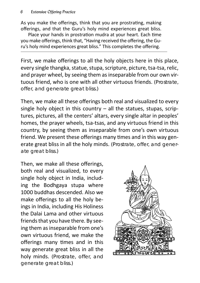As you make the offerings, think that you are prostrating, making offerings, and that the Guru's holy mind experiences great bliss.

Place your hands in prostration mudra at your heart. Each time you make offerings, think that, "Having received the offering, the Guru's holy mind experiences great bliss." This completes the offering.

First, we make offerings to all the holy objects here in this place, every single thangka, statue, stupa, scripture, picture, tsa-tsa, relic, and prayer wheel, by seeing them as inseparable from our own virtuous friend, who is one with all other virtuous friends. *(Prostrate, offer, and generate great bliss.)*

Then, we make all these offerings both real and visualized to every single holy object in this country  $-$  all the statues, stupas, scriptures, pictures, all the centers' altars, every single altar in peoples' homes, the prayer wheels, tsa-tsas, and any virtuous friend in this country, by seeing them as inseparable from one's own virtuous friend. We present these offerings many times and in this way generate great bliss in all the holy minds. *(Prostrate, offer, and generate great bliss.)*

Then, we make all these offerings, both real and visualized, to every single holy object in India, including the Bodhgaya stupa where 1000 buddhas descended. Also we make offerings to all the holy beings in India, including His Holiness the Dalai Lama and other virtuous friends that you have there. By seeing them as inseparable from one's own virtuous friend, we make the offerings many times and in this way generate great bliss in all the holy minds. *(Prostrate, offer, and generate great bliss.)*

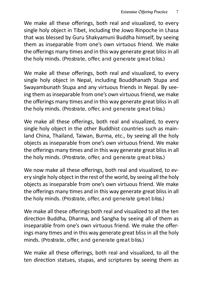We make all these offerings, both real and visualized, to every single holy object in Tibet, including the Jowo Rinpoche in Lhasa that was blessed by Guru Shakyamuni Buddha himself, by seeing them as inseparable from one's own virtuous friend. We make the offerings many times and in this way generate great bliss in all the holy minds. *(Prostrate, offer, and generate great bliss.)*

We make all these offerings, both real and visualized, to every single holy object in Nepal, including Bouddhanath Stupa and Swayambunath Stupa and any virtuous friends in Nepal. By seeing them as inseparable from one's own virtuous friend, we make the offerings many times and in this way generate great bliss in all the holy minds. *(Prostrate, offer, and generate great bliss.)*

We make all these offerings, both real and visualized, to every single holy object in the other Buddhist countries such as mainland China, Thailand, Taiwan, Burma, etc., by seeing all the holy objects as inseparable from one's own virtuous friend. We make the offerings many times and in this way generate great bliss in all the holy minds. *(Prostrate, offer, and generate great bliss.)*

We now make all these offerings, both real and visualized, to every single holy object in the rest of the world, by seeing all the holy objects as inseparable from one's own virtuous friend. We make the offerings many times and in this way generate great bliss in all the holy minds. *(Prostrate, offer, and generate great bliss.)*

We make all these offerings both real and visualized to all the ten direction Buddha, Dharma, and Sangha by seeing all of them as inseparable from one's own virtuous friend. We make the offerings many times and in this way generate great bliss in all the holy minds. *(Prostrate, offer, and generate great bliss.)*

We make all these offerings, both real and visualized, to all the ten direction statues, stupas, and scriptures by seeing them as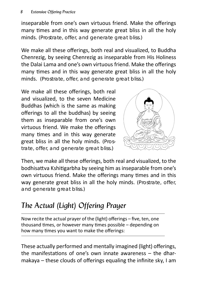inseparable from one's own virtuous friend. Make the offerings many times and in this way generate great bliss in all the holy minds. *(Prostrate, offer, and generate great bliss.)*

We make all these offerings, both real and visualized, to Buddha Chenrezig, by seeing Chenrezig as inseparable from His Holiness the Dalai Lama and one's own virtuous friend. Make the offerings many times and in this way generate great bliss in all the holy minds. *(Prostrate, offer, and generate great bliss.)*

We make all these offerings, both real and visualized, to the seven Medicine Buddhas (which is the same as making offerings to all the buddhas) by seeing them as inseparable from one's own virtuous friend. We make the offerings many times and in this way generate great bliss in all the holy minds. *(Prostrate, offer, and generate great bliss.)*



Then, we make all these offerings, both real and visualized, to the bodhisattva Kshitigarbha by seeing him as inseparable from one's own virtuous friend. Make the offerings many times and in this way generate great bliss in all the holy minds. *(Prostrate, offer, and generate great bliss.)*

# *The Actual (Light) Offering Prayer*

Now recite the actual prayer of the (light) offerings – five, ten, one thousand times, or however many times possible – depending on how many times you want to make the offerings:

These actually performed and mentally imagined (light) offerings, the manifestations of one's own innate awareness  $-$  the dharmakaya – these clouds of offerings equaling the infinite sky, I am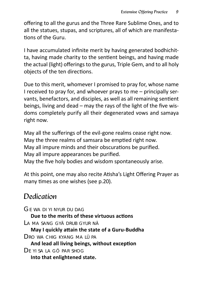offering to all the gurus and the Three Rare Sublime Ones, and to all the statues, stupas, and scriptures, all of which are manifesta-Ɵ ons of the Guru.

I have accumulated infinite merit by having generated bodhichitta, having made charity to the sentient beings, and having made the actual (light) offerings to the gurus, Triple Gem, and to all holy objects of the ten directions.

Due to this merit, whomever I promised to pray for, whose name I received to pray for, and whoever prays to me – principally servants, benefactors, and disciples, as well as all remaining sentient beings, living and dead  $-$  may the rays of the light of the five wisdoms completely purify all their degenerated vows and samaya right now.

May all the sufferings of the evil-gone realms cease right now. May the three realms of samsara be emptied right now. May all impure minds and their obscurations be purified. May all impure appearances be purified. May the five holy bodies and wisdom spontaneously arise.

At this point, one may also recite Atisha's Light Offering Prayer as many times as one wishes (see p.20).

## *Dedication*

GE WA DI YI NYUR DU DAG **Due to the merits of these virtuous actions** LA MA SANG GYÄ DRUB GYUR NÄ **May I quickly aƩ ain the state of a Guru-Buddha** DRO WA CHIG KYANG MA LÜ PA And lead all living beings, without exception DE YI SA LA GÖ PAR SHOG **Into that enlightened state.**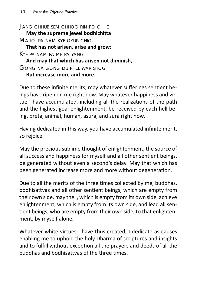JANG CHHUB SEM CHHOG RIN PO CHHE **May the supreme jewel bodhichitta** MA KYI PA NAM KYE GYUR CHIG **That has not arisen, arise and grow;** KYE PA NAM PA ME PA YANG **And may that which has arisen not diminish,** GONG NÄ GONG DU PHEL WAR SHOG **But increase more and more.**

Due to these infinite merits, may whatever sufferings sentient beings have ripen on me right now. May whatever happiness and virtue I have accumulated, including all the realizations of the path and the highest goal enlightenment, be received by each hell being, preta, animal, human, asura, and sura right now.

Having dedicated in this way, you have accumulated infinite merit, so rejoice.

May the precious sublime thought of enlightenment, the source of all success and happiness for myself and all other sentient beings, be generated without even a second's delay. May that which has been generated increase more and more without degeneration.

Due to all the merits of the three times collected by me, buddhas, bodhisattvas and all other sentient beings, which are empty from their own side, may the I, which is empty from its own side, achieve enlightenment, which is empty from its own side, and lead all sentient beings, who are empty from their own side, to that enlightenment, by myself alone.

Whatever white virtues I have thus created, I dedicate as causes enabling me to uphold the holy Dharma of scriptures and insights and to fulfill without exception all the prayers and deeds of all the buddhas and bodhisattvas of the three times.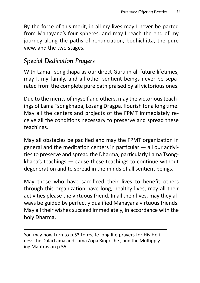By the force of this merit, in all my lives may I never be parted from Mahayana's four spheres, and may I reach the end of my journey along the paths of renunciation, bodhichitta, the pure view, and the two stages.

#### *Special Dedication Prayers*

With Lama Tsongkhapa as our direct Guru in all future lifetimes, may I, my family, and all other sentient beings never be separated from the complete pure path praised by all victorious ones.

Due to the merits of myself and others, may the victorious teachings of Lama Tsongkhapa, Losang Dragpa, flourish for a long time. May all the centers and projects of the FPMT immediately receive all the conditions necessary to preserve and spread these teachings.

May all obstacles be pacified and may the FPMT organization in general and the meditation centers in particular  $-$  all our activities to preserve and spread the Dharma, particularly Lama Tsongkhapa's teachings  $-$  cause these teachings to continue without degeneration and to spread in the minds of all sentient beings.

May those who have sacrificed their lives to benefit others through this organization have long, healthy lives, may all their activities please the virtuous friend. In all their lives, may they always be guided by perfectly qualified Mahayana virtuous friends. May all their wishes succeed immediately, in accordance with the holy Dharma.

You may now turn to p.53 to recite long life prayers for His Holiness the Dalai Lama and Lama Zopa Rinpoche., and the Multipplying Mantras on p.55.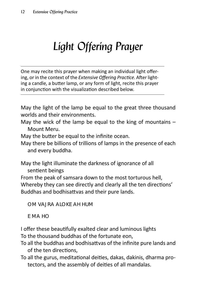# *Light Offering Prayer*

One may recite this prayer when making an individual light offering, or in the context of the *Extensive Offering Practice*. After lighting a candle, a butter lamp, or any form of light, recite this prayer in conjunction with the visualization described below.

May the light of the lamp be equal to the great three thousand worlds and their environments.

May the wick of the lamp be equal to the king of mountains  $-$ Mount Meru.

May the butter be equal to the infinite ocean.

May there be billions of trillions of lamps in the presence of each and every buddha.

May the light illuminate the darkness of ignorance of all sentient beings

From the peak of samsara down to the most torturous hell, Whereby they can see directly and clearly all the ten directions' Buddhas and bodhisattvas and their pure lands.

OM VAJRA ALOKE AH HUM

E MA HO

I offer these beautifully exalted clear and luminous lights To the thousand buddhas of the fortunate eon,

- To all the buddhas and bodhisattvas of the infinite pure lands and of the ten directions.
- To all the gurus, meditational deities, dakas, dakinis, dharma protectors, and the assembly of deities of all mandalas.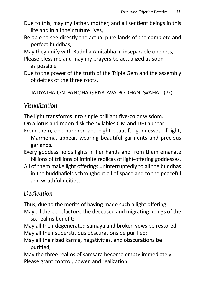- Due to this, may my father, mother, and all sentient beings in this life and in all their future lives,
- Be able to see directly the actual pure lands of the complete and perfect buddhas,

May they unify with Buddha Amitabha in inseparable oneness,

Please bless me and may my prayers be actualized as soon as possible,

Due to the power of the truth of the Triple Gem and the assembly of deities of the three roots.

TADYATHA OM PÄNCHA GRIYA AVA BODHANI SVAHA *(7x)*

### *Visualization*

The light transforms into single brilliant five-color wisdom.

On a lotus and moon disk the syllables OM and DHI appear.

- From them, one hundred and eight beautiful goddesses of light, Marmema, appear, wearing beautiful garments and precious garlands.
- Every goddess holds lights in her hands and from them emanate billions of trillions of infinite replicas of light-offering goddesses.
- All of them make light offerings uninterruptedly to all the buddhas in the buddhafields throughout all of space and to the peaceful and wrathful deities.

## *Dedication*

Thus, due to the merits of having made such a light offering May all the benefactors, the deceased and migrating beings of the

six realms benefit:

May all their degenerated samaya and broken vows be restored; May all their superstitious obscurations be purified;

May all their bad karma, negativities, and obscurations be purified;

May the three realms of samsara become empty immediately. Please grant control, power, and realization.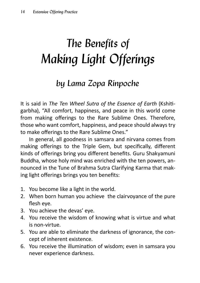# *The Benefits of Making Light Offerings*

# *by Lama Zopa Rinpoche*

It is said in *The Ten Wheel Sutra of the Essence of Earth* (Kshitigarbha), "All comfort, happiness, and peace in this world come from making offerings to the Rare Sublime Ones. Therefore, those who want comfort, happiness, and peace should always try to make offerings to the Rare Sublime Ones."

In general, all goodness in samsara and nirvana comes from making offerings to the Triple Gem, but specifically, different kinds of offerings bring you different benefits. Guru Shakyamuni Buddha, whose holy mind was enriched with the ten powers, announced in the Tune of Brahma Sutra Clarifying Karma that making light offerings brings you ten benefits:

- 1. You become like a light in the world.
- 2. When born human you achieve the clairvoyance of the pure flesh eye.
- 3. You achieve the devas' eye.
- 4. You receive the wisdom of knowing what is virtue and what is non-virtue.
- 5. You are able to eliminate the darkness of ignorance, the concept of inherent existence.
- 6. You receive the illumination of wisdom; even in samsara you never experience darkness.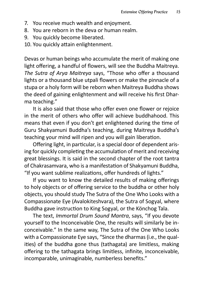- 7. You receive much wealth and enjoyment.
- 8. You are reborn in the deva or human realm.
- 9. You quickly become liberated.
- 10. You quickly attain enlightenment.

Devas or human beings who accumulate the merit of making one light offering, a handful of flowers, will see the Buddha Maitreya. The Sutra of Arya Maitreya says, "Those who offer a thousand lights or a thousand blue utpali flowers or make the pinnacle of a stupa or a holy form will be reborn when Maitreya Buddha shows the deed of gaining enlightenment and will receive his first Dharma teaching."

It is also said that those who offer even one flower or rejoice in the merit of others who offer will achieve buddhahood. This means that even if you don't get enlightened during the time of Guru Shakyamuni Buddha's teaching, during Maitreya Buddha's teaching your mind will ripen and you will gain liberation.

Offering light, in particular, is a special door of dependent arising for quickly completing the accumulation of merit and receiving great blessings. It is said in the second chapter of the root tantra of Chakrasamvara, who is a manifestation of Shakyamuni Buddha, "If you want sublime realizations, offer hundreds of lights."

If you want to know the detailed results of making offerings to holy objects or of offering service to the buddha or other holy objects, you should study The Sutra of the One Who Looks with a Compassionate Eye (Avalokiteshvara), the Sutra of Sogyal, where Buddha gave instruction to King Sogyal, or the Könchog Tala.

The text, *Immortal Drum Sound Mantra*, says, "If you devote yourself to the Inconceivable One, the results will similarly be inconceivable." In the same way, The Sutra of the One Who Looks with a Compassionate Eye says, "Since the dharmas (i.e., the qualities) of the buddha gone thus (tathagata) are limitless, making offering to the tathagata brings limitless, infinite, inconceivable, incomparable, unimaginable, numberless benefits."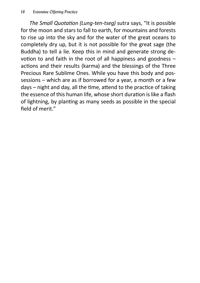*The Small Quotation (Lung-ten-tseg)* sutra says, "It is possible for the moon and stars to fall to earth, for mountains and forests to rise up into the sky and for the water of the great oceans to completely dry up, but it is not possible for the great sage (the Buddha) to tell a lie. Keep this in mind and generate strong devotion to and faith in the root of all happiness and goodness  $$ actions and their results (karma) and the blessings of the Three Precious Rare Sublime Ones. While you have this body and possessions – which are as if borrowed for a year, a month or a few  $days - night$  and day, all the time, attend to the practice of taking the essence of this human life, whose short duration is like a flash of lightning, by planting as many seeds as possible in the special field of merit."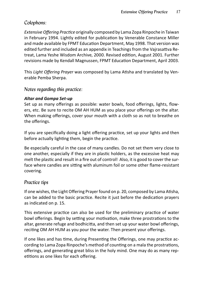#### *Colophons:*

*Extensive Off ering PracƟ ce* originally composed by Lama Zopa Rinpoche in Taiwan in February 1994. Lightly edited for publication by Venerable Constance Miller and made available by FPMT Education Department, May 1998. That version was edited further and included as an appendix in Teachings from the Vajrasattva Retreat, Lama Yeshe Wisdom Archive, 2000. Revised edition, August 2001. Further revisions made by Kendall Magnussen, FPMT Education Department, April 2003.

This *Light Offering Prayer* was composed by Lama Atisha and translated by Venerable Pemba Sherpa.

*Notes regarding this practice:*

#### *Altar and Gompa Set-up*

Set up as many offerings as possible: water bowls, food offerings, lights, flowers, etc. Be sure to recite OM AH HUM as you place your offerings on the altar. When making offerings, cover your mouth with a cloth so as not to breathe on the offerings.

If you are specifically doing a light offering practice, set up your lights and then before actually lighting them, begin the practice.

Be especially careful in the case of many candles. Do not set them very close to one another, especially if they are in plastic holders, as the excessive heat may melt the plastic and result in a fire out of control! Also, it is good to cover the surface where candles are sitting with aluminum foil or some other flame-resistant covering.

#### *Practice tips*

If one wishes, the Light Offering Prayer found on p. 20, composed by Lama Atisha, can be added to the basic practice. Recite it just before the dedication prayers as indicated on p. 15.

This extensive practice can also be used for the preliminary practice of water bowl offerings. Begin by setting your motivation, make three prostrations to the altar, generate refuge and bodhicitta, and then set up your water bowl offerings, reciting OM AH HUM as you pour the water. Then present your offerings.

If one likes and has time, during Presenting the Offerings, one may practice according to Lama Zopa Rinpoche's method of counting on a mala the prostrations, offerings, and generating great bliss in the holy mind. One may do as many repetitions as one likes for each offering.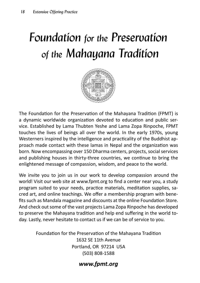# *Foundation for the Preservation of the Mahayana Tradition*



The Foundation for the Preservation of the Mahayana Tradition (FPMT) is a dynamic worldwide organization devoted to education and public service. Established by Lama Thubten Yeshe and Lama Zopa Rinpoche, FPMT touches the lives of beings all over the world. In the early 1970s, young Westerners inspired by the intelligence and practicality of the Buddhist approach made contact with these lamas in Nepal and the organization was born. Now encompassing over 150 Dharma centers, projects, social services and publishing houses in thirty-three countries, we continue to bring the enlightened message of compassion, wisdom, and peace to the world.

We invite you to join us in our work to develop compassion around the world! Visit our web site at www.fpmt.org to find a center near you, a study program suited to your needs, practice materials, meditation supplies, sacred art, and online teachings. We offer a membership program with benefits such as Mandala magazine and discounts at the online Foundation Store. And check out some of the vast projects Lama Zopa Rinpoche has developed to preserve the Mahayana tradition and help end suffering in the world today. Lastly, never hesitate to contact us if we can be of service to you.

> Foundation for the Preservation of the Mahayana Tradition 1632 SE 11th Avenue Portland, OR 97214 USA (503) 808-1588

#### *www.fpmt.org*